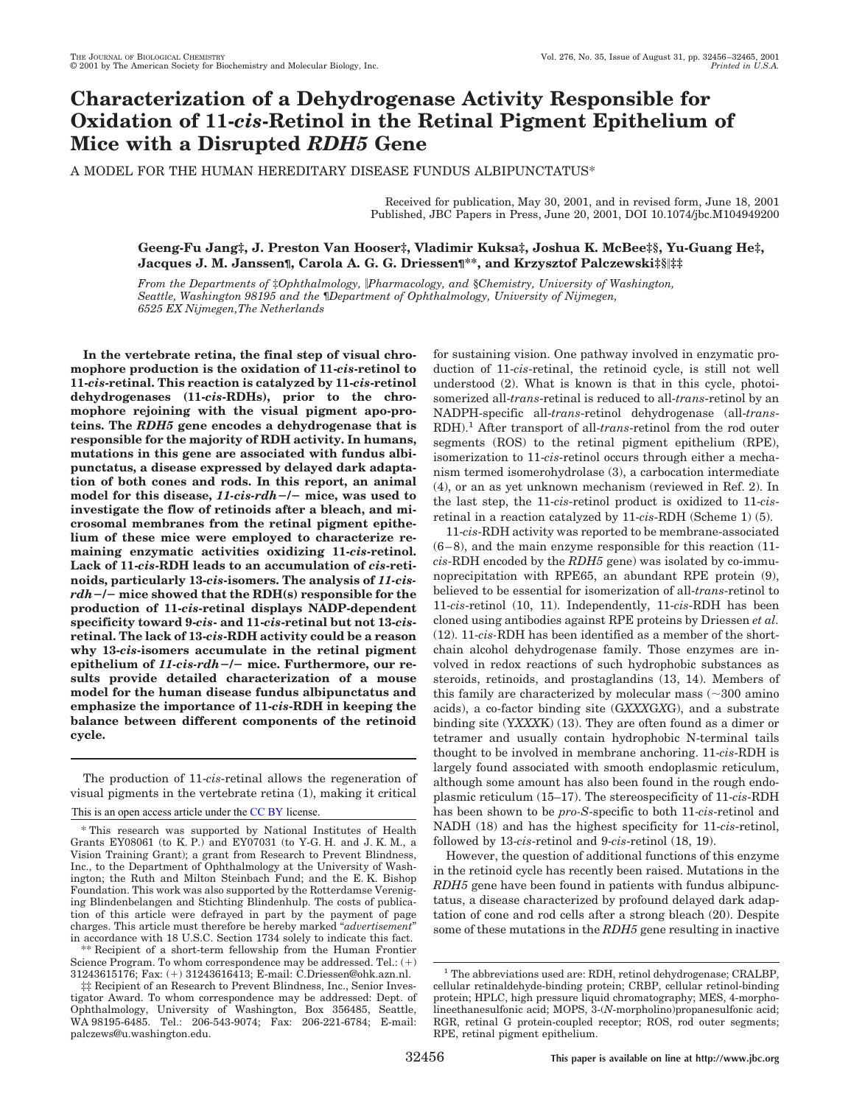# **Characterization of a Dehydrogenase Activity Responsible for Oxidation of 11-***cis***-Retinol in the Retinal Pigment Epithelium of Mice with a Disrupted** *RDH5* **Gene**

A MODEL FOR THE HUMAN HEREDITARY DISEASE FUNDUS ALBIPUNCTATUS\*

Received for publication, May 30, 2001, and in revised form, June 18, 2001 Published, JBC Papers in Press, June 20, 2001, DOI 10.1074/jbc.M104949200

## **Geeng-Fu Jang‡, J. Preston Van Hooser‡, Vladimir Kuksa‡, Joshua K. McBee‡§, Yu-Guang He‡, Jacques J. M. Janssen¶, Carola A. G. G. Driessen¶\*\*, and Krzysztof Palczewski‡§‡‡**

*From the Departments of* ‡*Ophthalmology, Pharmacology, and* §*Chemistry, University of Washington, Seattle, Washington 98195 and the* ¶*Department of Ophthalmology, University of Nijmegen, 6525 EX Nijmegen,The Netherlands*

**In the vertebrate retina, the final step of visual chromophore production is the oxidation of 11-***cis***-retinol to 11-***cis***-retinal. This reaction is catalyzed by 11-***cis***-retinol dehydrogenases (11-***cis***-RDHs), prior to the chromophore rejoining with the visual pigment apo-proteins. The** *RDH5* **gene encodes a dehydrogenase that is responsible for the majority of RDH activity. In humans, mutations in this gene are associated with fundus albipunctatus, a disease expressed by delayed dark adaptation of both cones and rods. In this report, an animal model for this disease,** *11-cis-rdh/* **mice, was used to investigate the flow of retinoids after a bleach, and microsomal membranes from the retinal pigment epithelium of these mice were employed to characterize remaining enzymatic activities oxidizing 11-***cis***-retinol. Lack of 11-***cis***-RDH leads to an accumulation of** *cis***-retinoids, particularly 13-***cis***-isomers. The analysis of** *11-cisrdh/* **mice showed that the RDH(s) responsible for the production of 11-***cis***-retinal displays NADP-dependent specificity toward 9-***cis***- and 11-***cis***-retinal but not 13-***cis***retinal. The lack of 13-***cis***-RDH activity could be a reason why 13-***cis***-isomers accumulate in the retinal pigment epithelium of** *11-cis-rdh/* **mice. Furthermore, our results provide detailed characterization of a mouse model for the human disease fundus albipunctatus and emphasize the importance of 11-***cis***-RDH in keeping the balance between different components of the retinoid cycle.**

The production of 11-*cis*-retinal allows the regeneration of visual pigments in the vertebrate retina (1), making it critical

This is an open access article under the [CC BY](http://creativecommons.org/licenses/by/4.0/) license.

\*\* Recipient of a short-term fellowship from the Human Frontier Science Program. To whom correspondence may be addressed. Tel.: (+) 31243615176; Fax: (+) 31243616413; E-mail: C.Driessen@ohk.azn.nl.

for sustaining vision. One pathway involved in enzymatic production of 11-*cis*-retinal, the retinoid cycle, is still not well understood (2). What is known is that in this cycle, photoisomerized all-*trans*-retinal is reduced to all-*trans*-retinol by an NADPH-specific all-*trans*-retinol dehydrogenase (all-*trans*-RDH).<sup>1</sup> After transport of all-*trans*-retinol from the rod outer segments (ROS) to the retinal pigment epithelium (RPE), isomerization to 11-*cis*-retinol occurs through either a mechanism termed isomerohydrolase (3), a carbocation intermediate (4), or an as yet unknown mechanism (reviewed in Ref. 2). In the last step, the 11-*cis*-retinol product is oxidized to 11-*cis*retinal in a reaction catalyzed by 11-*cis*-RDH (Scheme 1) (5).

11-*cis*-RDH activity was reported to be membrane-associated (6–8), and the main enzyme responsible for this reaction (11 *cis*-RDH encoded by the *RDH5* gene) was isolated by co-immunoprecipitation with RPE65, an abundant RPE protein (9), believed to be essential for isomerization of all-*trans*-retinol to 11-*cis*-retinol (10, 11). Independently, 11-*cis*-RDH has been cloned using antibodies against RPE proteins by Driessen *et al.* (12). 11-*cis-*RDH has been identified as a member of the shortchain alcohol dehydrogenase family. Those enzymes are involved in redox reactions of such hydrophobic substances as steroids, retinoids, and prostaglandins (13, 14). Members of this family are characterized by molecular mass  $(\sim 300 \text{ amino})$ acids), a co-factor binding site (G*XXX*G*X*G), and a substrate binding site (Y*XXX*K) (13). They are often found as a dimer or tetramer and usually contain hydrophobic N-terminal tails thought to be involved in membrane anchoring. 11-*cis*-RDH is largely found associated with smooth endoplasmic reticulum, although some amount has also been found in the rough endoplasmic reticulum (15–17). The stereospecificity of 11-*cis*-RDH has been shown to be *pro-S*-specific to both 11-*cis*-retinol and NADH (18) and has the highest specificity for 11-*cis*-retinol, followed by 13-*cis*-retinol and 9-*cis*-retinol (18, 19).

However, the question of additional functions of this enzyme in the retinoid cycle has recently been raised. Mutations in the *RDH5* gene have been found in patients with fundus albipunctatus, a disease characterized by profound delayed dark adaptation of cone and rod cells after a strong bleach (20). Despite some of these mutations in the *RDH5* gene resulting in inactive

<sup>\*</sup> This research was supported by National Institutes of Health Grants EY08061 (to K. P.) and EY07031 (to Y-G. H. and J. K. M., a Vision Training Grant); a grant from Research to Prevent Blindness, Inc., to the Department of Ophthalmology at the University of Washington; the Ruth and Milton Steinbach Fund; and the E. K. Bishop Foundation. This work was also supported by the Rotterdamse Vereniging Blindenbelangen and Stichting Blindenhulp. The costs of publication of this article were defrayed in part by the payment of page charges. This article must therefore be hereby marked "*advertisement*" in accordance with 18 U.S.C. Section 1734 solely to indicate this fact.

<sup>‡‡</sup> Recipient of an Research to Prevent Blindness, Inc., Senior Investigator Award. To whom correspondence may be addressed: Dept. of Ophthalmology, University of Washington, Box 356485, Seattle, WA 98195-6485. Tel.: 206-543-9074; Fax: 206-221-6784; E-mail: palczews@u.washington.edu.

<sup>&</sup>lt;sup>1</sup> The abbreviations used are: RDH, retinol dehydrogenase; CRALBP, cellular retinaldehyde-binding protein; CRBP, cellular retinol-binding protein; HPLC, high pressure liquid chromatography; MES, 4-morpholineethanesulfonic acid; MOPS, 3-(*N*-morpholino)propanesulfonic acid; RGR, retinal G protein-coupled receptor; ROS, rod outer segments; RPE, retinal pigment epithelium.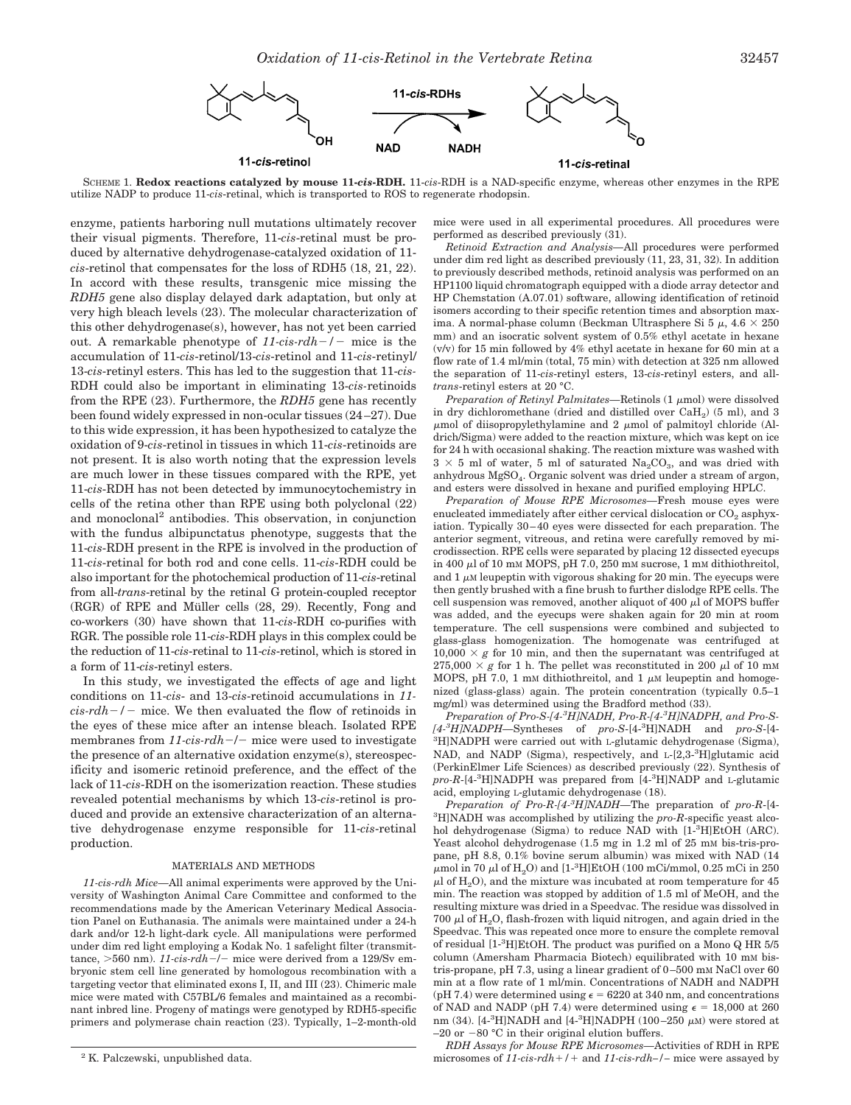



SCHEME 1. **Redox reactions catalyzed by mouse 11-***cis***-RDH.** 11-*cis*-RDH is a NAD-specific enzyme, whereas other enzymes in the RPE utilize NADP to produce 11-*cis*-retinal, which is transported to ROS to regenerate rhodopsin.

enzyme, patients harboring null mutations ultimately recover their visual pigments. Therefore, 11-*cis*-retinal must be produced by alternative dehydrogenase-catalyzed oxidation of 11 *cis*-retinol that compensates for the loss of RDH5 (18, 21, 22). In accord with these results, transgenic mice missing the *RDH5* gene also display delayed dark adaptation, but only at very high bleach levels (23). The molecular characterization of this other dehydrogenase(s), however, has not yet been carried out. A remarkable phenotype of *11-cis-rdh/* mice is the accumulation of 11-*cis*-retinol/13-*cis*-retinol and 11-*cis*-retinyl/ 13-*cis*-retinyl esters. This has led to the suggestion that 11-*cis-*RDH could also be important in eliminating 13-*cis-*retinoids from the RPE (23). Furthermore, the *RDH5* gene has recently been found widely expressed in non-ocular tissues (24–27). Due to this wide expression, it has been hypothesized to catalyze the oxidation of 9-*cis*-retinol in tissues in which 11-*cis*-retinoids are not present. It is also worth noting that the expression levels are much lower in these tissues compared with the RPE, yet 11-*cis*-RDH has not been detected by immunocytochemistry in cells of the retina other than RPE using both polyclonal (22) and monoclonal<sup>2</sup> antibodies. This observation, in conjunction with the fundus albipunctatus phenotype, suggests that the 11-*cis*-RDH present in the RPE is involved in the production of 11-*cis*-retinal for both rod and cone cells. 11-*cis*-RDH could be also important for the photochemical production of 11-*cis*-retinal from all-*trans*-retinal by the retinal G protein-coupled receptor  $(RGR)$  of RPE and Müller cells  $(28, 29)$ . Recently, Fong and co-workers (30) have shown that 11-*cis*-RDH co-purifies with RGR. The possible role 11-*cis*-RDH plays in this complex could be the reduction of 11-*cis*-retinal to 11-*cis*-retinol, which is stored in a form of 11-*cis*-retinyl esters.

In this study, we investigated the effects of age and light conditions on 11-*cis*- and 13-*cis*-retinoid accumulations in *11*  $cis$ - $rdh$ <sup>-</sup>/- mice. We then evaluated the flow of retinoids in the eyes of these mice after an intense bleach. Isolated RPE membranes from  $11$ -cis-rdh- $/$ - mice were used to investigate the presence of an alternative oxidation enzyme(s), stereospecificity and isomeric retinoid preference, and the effect of the lack of 11-*cis*-RDH on the isomerization reaction. These studies revealed potential mechanisms by which 13-*cis*-retinol is produced and provide an extensive characterization of an alternative dehydrogenase enzyme responsible for 11-*cis*-retinal production.

### MATERIALS AND METHODS

*11-cis-rdh Mice—*All animal experiments were approved by the University of Washington Animal Care Committee and conformed to the recommendations made by the American Veterinary Medical Association Panel on Euthanasia. The animals were maintained under a 24-h dark and/or 12-h light-dark cycle. All manipulations were performed under dim red light employing a Kodak No. 1 safelight filter (transmittance,  $>560$  nm). *11-cis-rdh-/-* mice were derived from a 129/Sv embryonic stem cell line generated by homologous recombination with a targeting vector that eliminated exons I, II, and III (23). Chimeric male mice were mated with C57BL/6 females and maintained as a recombinant inbred line. Progeny of matings were genotyped by RDH5-specific primers and polymerase chain reaction (23). Typically, 1–2-month-old mice were used in all experimental procedures. All procedures were performed as described previously (31).

*Retinoid Extraction and Analysis—*All procedures were performed under dim red light as described previously (11, 23, 31, 32). In addition to previously described methods, retinoid analysis was performed on an HP1100 liquid chromatograph equipped with a diode array detector and HP Chemstation (A.07.01) software, allowing identification of retinoid isomers according to their specific retention times and absorption maxima. A normal-phase column (Beckman Ultrasphere Si 5  $\mu$ , 4.6  $\times$  250 mm) and an isocratic solvent system of 0.5% ethyl acetate in hexane (v/v) for 15 min followed by 4% ethyl acetate in hexane for 60 min at a flow rate of 1.4 ml/min (total, 75 min) with detection at 325 nm allowed the separation of 11-*cis*-retinyl esters, 13-*cis*-retinyl esters, and all*trans*-retinyl esters at 20 °C.

*Preparation of Retinyl Palmitates*—Retinols (1 µmol) were dissolved in dry dichloromethane (dried and distilled over  $CaH<sub>2</sub>$ ) (5 ml), and 3  $\mu$ mol of diisopropylethylamine and 2  $\mu$ mol of palmitoyl chloride (Aldrich/Sigma) were added to the reaction mixture, which was kept on ice for 24 h with occasional shaking. The reaction mixture was washed with  $3 \times 5$  ml of water, 5 ml of saturated Na<sub>2</sub>CO<sub>3</sub>, and was dried with anhydrous MgSO<sub>4</sub>. Organic solvent was dried under a stream of argon, and esters were dissolved in hexane and purified employing HPLC.

*Preparation of Mouse RPE Microsomes—*Fresh mouse eyes were enucleated immediately after either cervical dislocation or  $CO<sub>2</sub>$  asphyxiation. Typically 30–40 eyes were dissected for each preparation. The anterior segment, vitreous, and retina were carefully removed by microdissection. RPE cells were separated by placing 12 dissected eyecups in 400  $\mu$ l of 10 mM MOPS, pH 7.0, 250 mM sucrose, 1 mM dithiothreitol, and  $1 \mu$ M leupeptin with vigorous shaking for 20 min. The eyecups were then gently brushed with a fine brush to further dislodge RPE cells. The cell suspension was removed, another aliquot of 400  $\mu$ l of MOPS buffer was added, and the eyecups were shaken again for 20 min at room temperature. The cell suspensions were combined and subjected to glass-glass homogenization. The homogenate was centrifuged at 10,000  $\times$  g for 10 min, and then the supernatant was centrifuged at  $275,000 \times g$  for 1 h. The pellet was reconstituted in 200  $\mu$ l of 10 mm MOPS, pH 7.0, 1 mm dithiothreitol, and 1  $\mu$ M leupeptin and homogenized (glass-glass) again. The protein concentration (typically 0.5–1 mg/ml) was determined using the Bradford method (33).

*Preparation of Pro-S-[4-<sup>3</sup> H]NADH, Pro-R-[4-3 H]NADPH, and Pro-S- [4-3 H]NADPH—*Syntheses of *pro-S*-[4-<sup>3</sup> H]NADH and *pro-S*-[4- 3 H]NADPH were carried out with L-glutamic dehydrogenase (Sigma), NAD, and NADP (Sigma), respectively, and L-[2,3-3H]glutamic acid (PerkinElmer Life Sciences) as described previously (22). Synthesis of *pro-R*-[4-3 H]NADPH was prepared from [4-3 H]NADP and L-glutamic acid, employing L-glutamic dehydrogenase (18).

*Preparation of Pro-R-[4-<sup>3</sup> H]NADH—*The preparation of *pro-R*-[4- 3 H]NADH was accomplished by utilizing the *pro-R*-specific yeast alcohol dehydrogenase (Sigma) to reduce NAD with [1-<sup>3</sup> H]EtOH (ARC). Yeast alcohol dehydrogenase (1.5 mg in 1.2 ml of 25 mM bis-tris-propane, pH 8.8, 0.1% bovine serum albumin) was mixed with NAD (14  $\mu$ mol in 70  $\mu$ l of  $\rm H_{2}O$ ) and [1-<sup>3</sup>H]EtOH (100 mCi/mmol, 0.25 mCi in 250  $\mu$ l of H<sub>2</sub>O), and the mixture was incubated at room temperature for 45 min. The reaction was stopped by addition of 1.5 ml of MeOH, and the resulting mixture was dried in a Speedvac. The residue was dissolved in 700  $\mu$ l of H<sub>2</sub>O, flash-frozen with liquid nitrogen, and again dried in the Speedvac. This was repeated once more to ensure the complete removal of residual [1-<sup>3</sup> H]EtOH. The product was purified on a Mono Q HR 5/5 column (Amersham Pharmacia Biotech) equilibrated with 10 mM bistris-propane, pH 7.3, using a linear gradient of 0–500 mM NaCl over 60 min at a flow rate of 1 ml/min. Concentrations of NADH and NADPH (pH 7.4) were determined using  $\epsilon = 6220$  at 340 nm, and concentrations of NAD and NADP (pH 7.4) were determined using  $\epsilon = 18,000$  at 260 nm (34). [4<sup>-3</sup>H]NADH and [4<sup>-3</sup>H]NADPH (100-250  $\mu$ M) were stored at  $-20$  or  $-80$  °C in their original elution buffers.

*RDH Assays for Mouse RPE Microsomes—*Activities of RDH in RPE <sup>2</sup> K. Palczewski, unpublished data. **2** A. Palczewski, unpublished data. **2** A. Palczewski, unpublished data.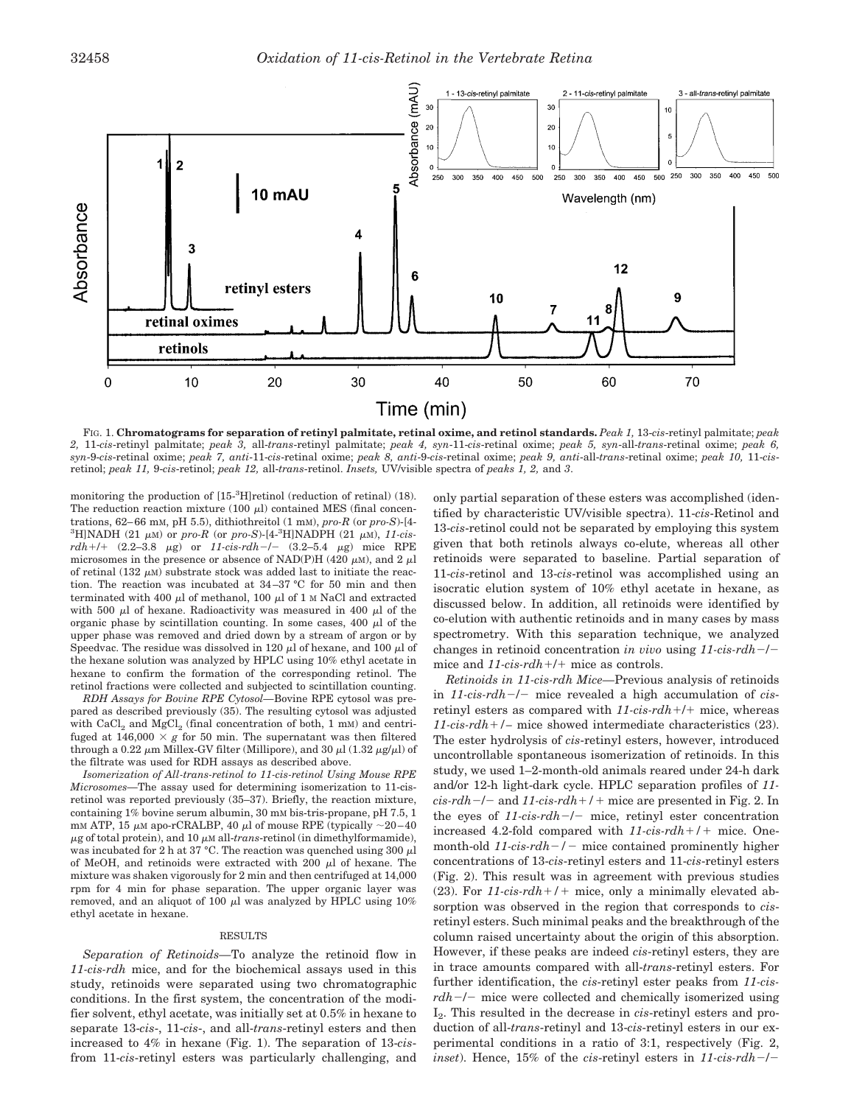

FIG. 1. **Chromatograms for separation of retinyl palmitate, retinal oxime, and retinol standards.** *Peak 1,* 13-*cis*-retinyl palmitate; *peak 2,* 11-*cis*-retinyl palmitate; *peak 3,* all-*trans*-retinyl palmitate; *peak 4, syn*-11-*cis*-retinal oxime; *peak 5, syn*-all-*trans*-retinal oxime; *peak 6, syn*-9-*cis*-retinal oxime; *peak 7, anti*-11-*cis*-retinal oxime; *peak 8, anti*-9-*cis*-retinal oxime; *peak 9, anti*-all-*trans*-retinal oxime; *peak 10,* 11-*cis*retinol; *peak 11,* 9-*cis*-retinol; *peak 12,* all-*trans*-retinol. *Insets,* UV/visible spectra of *peaks 1, 2,* and *3*.

monitoring the production of [15-3 H]retinol (reduction of retinal) (18). The reduction reaction mixture (100  $\mu$ ) contained MES (final concentrations, 62–66 mM, pH 5.5), dithiothreitol (1 mM), *pro-R* (or *pro-S*)-[4-  ${}^{3}$ H]NADH (21  $\mu$ M) or *pro-R* (or *pro-S*)-[4- ${}^{3}$ H]NADPH (21  $\mu$ M), 11-cis $rdh + l + (2.2-3.8 \mu g)$  or  $11-cis-rdh - l - (3.2-5.4 \mu g)$  mice RPE microsomes in the presence or absence of NAD(P)H (420  $\mu$ M), and 2  $\mu$ l of retinal  $(132 \mu)$  substrate stock was added last to initiate the reaction. The reaction was incubated at 34–37 °C for 50 min and then terminated with 400  $\mu$ l of methanol, 100  $\mu$ l of 1 M NaCl and extracted with 500  $\mu$ l of hexane. Radioactivity was measured in 400  $\mu$ l of the organic phase by scintillation counting. In some cases, 400  $\mu$ l of the upper phase was removed and dried down by a stream of argon or by Speedvac. The residue was dissolved in 120  $\mu$ l of hexane, and 100  $\mu$ l of the hexane solution was analyzed by HPLC using 10% ethyl acetate in hexane to confirm the formation of the corresponding retinol. The retinol fractions were collected and subjected to scintillation counting.

*RDH Assays for Bovine RPE Cytosol—*Bovine RPE cytosol was prepared as described previously (35). The resulting cytosol was adjusted with  $CaCl<sub>2</sub>$  and  $MgCl<sub>2</sub>$  (final concentration of both, 1 mM) and centrifuged at  $146,000 \times g$  for 50 min. The supernatant was then filtered through a 0.22  $\mu$ m Millex-GV filter (Millipore), and 30  $\mu$ l (1.32  $\mu$ g/ $\mu$ l) of the filtrate was used for RDH assays as described above.

*Isomerization of All-trans-retinol to 11-cis-retinol Using Mouse RPE Microsomes—*The assay used for determining isomerization to 11-cisretinol was reported previously (35–37). Briefly, the reaction mixture, containing 1% bovine serum albumin, 30 mM bis-tris-propane, pH 7.5, 1 mM ATP, 15  $\mu$ M apo-rCRALBP, 40  $\mu$ l of mouse RPE (typically ~20–40)  $\mu$ g of total protein), and 10  $\mu$ M all-*trans*-retinol (in dimethylformamide), was incubated for 2 h at 37 °C. The reaction was quenched using 300  $\mu$ l of MeOH, and retinoids were extracted with 200  $\mu$ l of hexane. The mixture was shaken vigorously for 2 min and then centrifuged at 14,000 rpm for 4 min for phase separation. The upper organic layer was removed, and an aliquot of 100  $\mu$ l was analyzed by HPLC using 10% ethyl acetate in hexane.

#### RESULTS

*Separation of Retinoids—*To analyze the retinoid flow in *11-cis-rdh* mice, and for the biochemical assays used in this study, retinoids were separated using two chromatographic conditions. In the first system, the concentration of the modifier solvent, ethyl acetate, was initially set at 0.5% in hexane to separate 13-*cis*-, 11-*cis*-, and all-*trans*-retinyl esters and then increased to 4% in hexane (Fig. 1). The separation of 13-*cis*from 11-*cis*-retinyl esters was particularly challenging, and only partial separation of these esters was accomplished (identified by characteristic UV/visible spectra). 11-*cis*-Retinol and 13-*cis*-retinol could not be separated by employing this system given that both retinols always co-elute, whereas all other retinoids were separated to baseline. Partial separation of 11-*cis*-retinol and 13-*cis*-retinol was accomplished using an isocratic elution system of 10% ethyl acetate in hexane, as discussed below. In addition, all retinoids were identified by co-elution with authentic retinoids and in many cases by mass spectrometry. With this separation technique, we analyzed changes in retinoid concentration *in vivo* using 11-cis-rdh-/mice and  $11\text{-}cis\text{-}rdh + / +$  mice as controls.

*Retinoids in 11-cis-rdh Mice—*Previous analysis of retinoids in *11-cis-rdh-/-* mice revealed a high accumulation of *cis*retinyl esters as compared with *11-cis-rdh*+/+ mice, whereas *11-cis-rdh*-*/–* mice showed intermediate characteristics (23). The ester hydrolysis of *cis*-retinyl esters, however, introduced uncontrollable spontaneous isomerization of retinoids. In this study, we used 1–2-month-old animals reared under 24-h dark and/or 12-h light-dark cycle. HPLC separation profiles of *11*  $cis$ - $rdh$  –/– and 11-cis- $rdh$  +/ + mice are presented in Fig. 2. In the eyes of  $11$ -cis-rdh $-/-$  mice, retinyl ester concentration increased 4.2-fold compared with *11-cis-rdh*-*/*- mice. Onemonth-old  $11\text{-}cis\text{-}rdh$  –  $/$  mice contained prominently higher concentrations of 13-*cis*-retinyl esters and 11-*cis*-retinyl esters (Fig. 2). This result was in agreement with previous studies  $(23)$ . For  $11$ -cis- $rdh+/-$  mice, only a minimally elevated absorption was observed in the region that corresponds to *cis*retinyl esters. Such minimal peaks and the breakthrough of the column raised uncertainty about the origin of this absorption. However, if these peaks are indeed *cis*-retinyl esters, they are in trace amounts compared with all-*trans*-retinyl esters. For further identification, the *cis*-retinyl ester peaks from *11-cis* $rdh-/-$  mice were collected and chemically isomerized using I2. This resulted in the decrease in *cis*-retinyl esters and production of all-*trans*-retinyl and 13-*cis*-retinyl esters in our experimental conditions in a ratio of 3:1, respectively (Fig. 2, *inset*). Hence,  $15\%$  of the *cis*-retinyl esters in  $11$ -cis-rdh-/-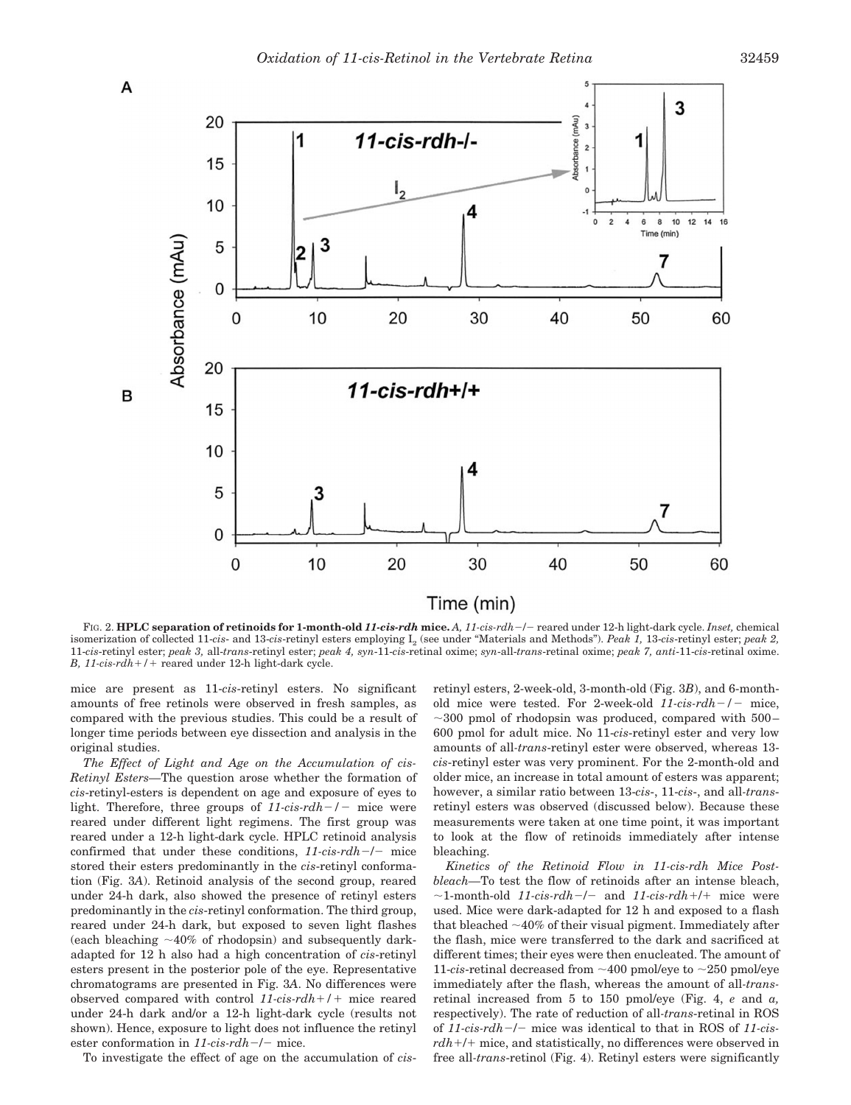

FIG. 2. **HPLC separation of retinoids for 1-month-old** *11-cis-rdh* **mice.** *A, 11-cis-rdh*/ reared under 12-h light-dark cycle. *Inset,* chemical isomerization of collected 11-*cis*- and 13-*cis*-retinyl esters employing I2 (see under "Materials and Methods"). *Peak 1,* 13-*cis*-retinyl ester; *peak 2,* 11-*cis*-retinyl ester; *peak 3,* all-*trans*-retinyl ester; *peak 4, syn*-11-*cis*-retinal oxime; *syn*-all-*trans*-retinal oxime; *peak 7, anti*-11-*cis*-retinal oxime. *B, 11-cis-rdh*-*/*- reared under 12-h light-dark cycle.

mice are present as 11-*cis*-retinyl esters. No significant amounts of free retinols were observed in fresh samples, as compared with the previous studies. This could be a result of longer time periods between eye dissection and analysis in the original studies.

*The Effect of Light and Age on the Accumulation of cis-Retinyl Esters—*The question arose whether the formation of *cis*-retinyl-esters is dependent on age and exposure of eyes to light. Therefore, three groups of  $11\text{-}cis\text{-}rdh$  – mice were reared under different light regimens. The first group was reared under a 12-h light-dark cycle. HPLC retinoid analysis confirmed that under these conditions,  $11-cis\text{-}rdh$  -/- mice stored their esters predominantly in the *cis*-retinyl conformation (Fig. 3*A*). Retinoid analysis of the second group, reared under 24-h dark, also showed the presence of retinyl esters predominantly in the *cis*-retinyl conformation. The third group, reared under 24-h dark, but exposed to seven light flashes (each bleaching  $\sim$ 40% of rhodopsin) and subsequently darkadapted for 12 h also had a high concentration of *cis*-retinyl esters present in the posterior pole of the eye. Representative chromatograms are presented in Fig. 3*A*. No differences were observed compared with control *11-cis-rdh*-*/*- mice reared under 24-h dark and/or a 12-h light-dark cycle (results not shown). Hence, exposure to light does not influence the retinyl ester conformation in  $11\text{-}cis\text{-}rdh$  –/– mice.

To investigate the effect of age on the accumulation of *cis*-

retinyl esters, 2-week-old, 3-month-old (Fig. 3*B*), and 6-monthold mice were tested. For 2-week-old *11-cis-rdh/* mice,  $\sim$ 300 pmol of rhodopsin was produced, compared with 500– 600 pmol for adult mice. No 11-*cis*-retinyl ester and very low amounts of all*-trans*-retinyl ester were observed, whereas 13 *cis*-retinyl ester was very prominent. For the 2-month-old and older mice, an increase in total amount of esters was apparent; however, a similar ratio between 13-*cis*-, 11-*cis*-, and all*-trans*retinyl esters was observed (discussed below). Because these measurements were taken at one time point, it was important to look at the flow of retinoids immediately after intense bleaching.

*Kinetics of the Retinoid Flow in 11-cis-rdh Mice Postbleach—*To test the flow of retinoids after an intense bleach,  $\sim$ 1-month-old *11-cis-rdh-l* and *11-cis-rdh+l* mice were used. Mice were dark-adapted for 12 h and exposed to a flash that bleached  $\sim$ 40% of their visual pigment. Immediately after the flash, mice were transferred to the dark and sacrificed at different times; their eyes were then enucleated. The amount of 11-*cis*-retinal decreased from  $\sim$  400 pmol/eve to  $\sim$  250 pmol/eve immediately after the flash, whereas the amount of all*-trans*retinal increased from 5 to 150 pmol/eye (Fig. 4, *e* and *a,* respectively). The rate of reduction of all*-trans*-retinal in ROS of *11-cis-rdh*/ mice was identical to that in ROS of *11-cisrdh*-/- mice, and statistically, no differences were observed in free all*-trans*-retinol (Fig. 4). Retinyl esters were significantly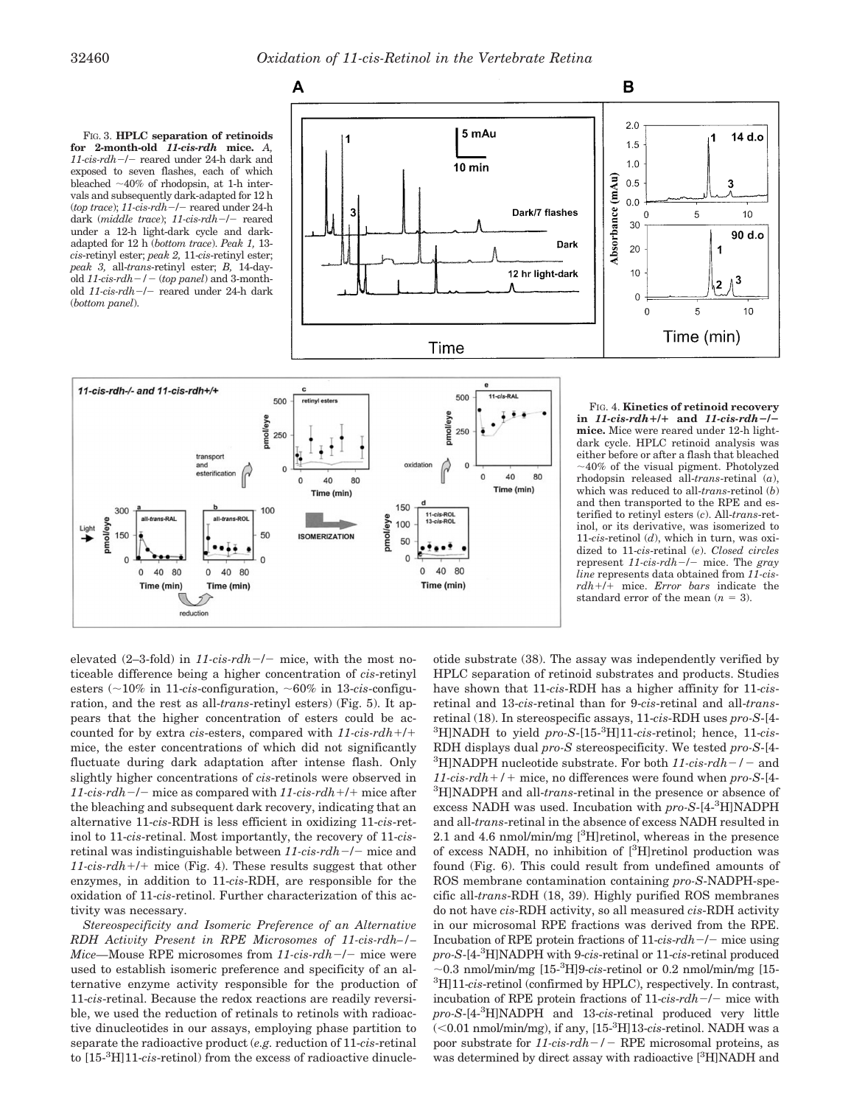FIG. 3. **HPLC separation of retinoids for 2-month-old** *11-cis-rdh* **mice.** *A,* 11-cis-rdh-/- reared under 24-h dark and exposed to seven flashes, each of which bleached  $\sim$ 40% of rhodopsin, at 1-h intervals and subsequently dark-adapted for 12 h (*top trace*); *11-cis-rdh-/-* reared under 24-h dark (*middle trace*); 11-cis-rdh-/- reared under a 12-h light-dark cycle and darkadapted for 12 h (*bottom trace*). *Peak 1,* 13 *cis*-retinyl ester; *peak 2,* 11-*cis*-retinyl ester; *peak 3,* all-*trans*-retinyl ester; *B,* 14-dayold  $11$ -cis-rdh $-/-$  (top panel) and 3-monthold 11-cis-rdh-/- reared under 24-h dark (*bottom panel*).





FIG. 4. **Kinetics of retinoid recovery in** *11-cis-rdh*-*/*- **and** *11-cis-rdh***/ mice.** Mice were reared under 12-h lightdark cycle. HPLC retinoid analysis was either before or after a flash that bleached 40% of the visual pigment. Photolyzed rhodopsin released all-*trans*-retinal (*a*), which was reduced to all-*trans*-retinol (*b*) and then transported to the RPE and esterified to retinyl esters (*c*). All-*trans*-retinol, or its derivative, was isomerized to 11-*cis*-retinol (*d*), which in turn, was oxidized to 11-*cis*-retinal (*e*). *Closed circles* represent *11-cis-rdh-/-* mice. The *gray line* represents data obtained from *11-cisrdh*-/- mice. *Error bars* indicate the standard error of the mean  $(n = 3)$ .

elevated  $(2-3-fold)$  in  $11-cis-rdh-/-$  mice, with the most noticeable difference being a higher concentration of *cis*-retinyl esters  $\left(\sim\!10\%$  in 11-*cis*-configuration,  $\sim\!60\%$  in 13-*cis*-configuration, and the rest as all-*trans*-retinyl esters) (Fig. 5). It appears that the higher concentration of esters could be accounted for by extra *cis*-esters, compared with *11-cis-rdh*-/ mice, the ester concentrations of which did not significantly fluctuate during dark adaptation after intense flash. Only slightly higher concentrations of *cis*-retinols were observed in *11-cis-rdh*/ mice as compared with *11-cis-rdh*-/- mice after the bleaching and subsequent dark recovery, indicating that an alternative 11-*cis*-RDH is less efficient in oxidizing 11-*cis*-retinol to 11-*cis*-retinal. Most importantly, the recovery of 11-*cis*retinal was indistinguishable between 11-cis-rdh-/- mice and *11-cis-rdh*-/- mice (Fig. 4). These results suggest that other enzymes, in addition to 11-*cis*-RDH, are responsible for the oxidation of 11-*cis*-retinol. Further characterization of this activity was necessary.

*Stereospecificity and Isomeric Preference of an Alternative RDH Activity Present in RPE Microsomes of 11-cis-rdh–/– Mice*—Mouse RPE microsomes from 11-cis-rdh-/- mice were used to establish isomeric preference and specificity of an alternative enzyme activity responsible for the production of 11-*cis*-retinal. Because the redox reactions are readily reversible, we used the reduction of retinals to retinols with radioactive dinucleotides in our assays, employing phase partition to separate the radioactive product (*e.g.* reduction of 11-*cis*-retinal to [15-3 H]11-*cis*-retinol) from the excess of radioactive dinucle-

otide substrate (38). The assay was independently verified by HPLC separation of retinoid substrates and products. Studies have shown that 11-*cis*-RDH has a higher affinity for 11-*cis*retinal and 13-*cis*-retinal than for 9-*cis*-retinal and all-*trans*retinal (18). In stereospecific assays, 11-*cis*-RDH uses *pro-S*-[4- 3 H]NADH to yield *pro-S*-[15-3 H]11-*cis*-retinol; hence, 11-*cis*-RDH displays dual *pro-S* stereospecificity. We tested *pro-S*-[4- <sup>3</sup>H]NADPH nucleotide substrate. For both  $11$ -cis-rdh<sup>-</sup>/- and *11-cis-rdh*-*/*- mice, no differences were found when *pro-S*-[4- 3 H]NADPH and all-*trans*-retinal in the presence or absence of excess NADH was used. Incubation with *pro-S*-[4-3 H]NADPH and all-*trans*-retinal in the absence of excess NADH resulted in 2.1 and 4.6 nmol/min/mg  $[{}^{3}H]$ retinol, whereas in the presence of excess NADH, no inhibition of [<sup>3</sup>H]retinol production was found (Fig. 6). This could result from undefined amounts of ROS membrane contamination containing *pro-S*-NADPH-specific all-*trans*-RDH (18, 39). Highly purified ROS membranes do not have *cis*-RDH activity, so all measured *cis*-RDH activity in our microsomal RPE fractions was derived from the RPE. Incubation of RPE protein fractions of  $11$ -*cis-rdh*-/- mice using *pro-S*-[4-3 H]NADPH with 9-*cis*-retinal or 11-*cis*-retinal produced  $\sim$ 0.3 nmol/min/mg [15<sup>-3</sup>H]9-*cis*-retinol or 0.2 nmol/min/mg [15-3 H]11-*cis*-retinol (confirmed by HPLC), respectively. In contrast, incubation of RPE protein fractions of  $11*cis*-rdh-/-$  mice with *pro-S*-[4-3 H]NADPH and 13-*cis*-retinal produced very little (0.01 nmol/min/mg), if any, [15-3 H]13-*cis*-retinol. NADH was a poor substrate for *11-cis-rdh*-/- RPE microsomal proteins, as was determined by direct assay with radioactive [<sup>3</sup>H]NADH and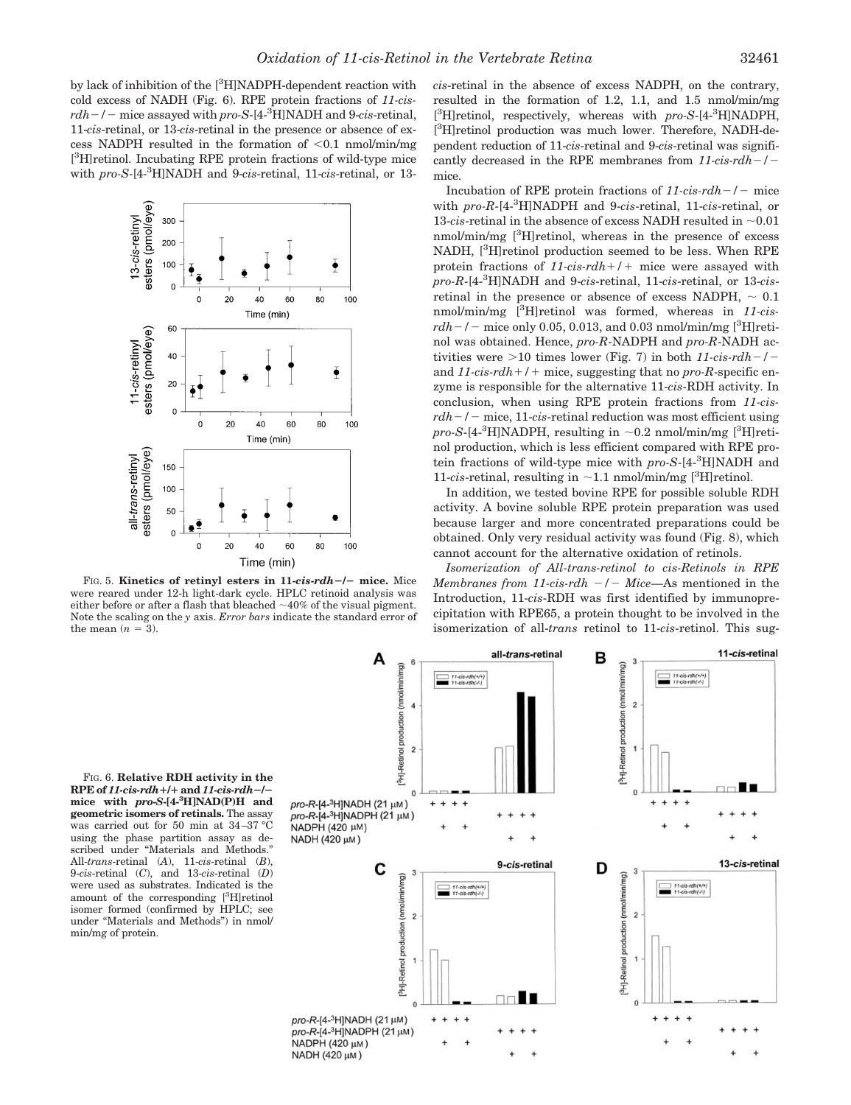by lack of inhibition of the [<sup>3</sup>H]NADPH-dependent reaction with cold excess of NADH (Fig. 6). RPE protein fractions of *11-cisrdh/* mice assayed with *pro-S*-[4-3 H]NADH and 9-*cis*-retinal, 11-*cis*-retinal, or 13-*cis*-retinal in the presence or absence of excess NADPH resulted in the formation of  $< 0.1$  nmol/min/mg [ 3 H]retinol. Incubating RPE protein fractions of wild-type mice with *pro-S*-[4-3 H]NADH and 9-*cis*-retinal, 11-*cis*-retinal, or 13-



FIG. 5. **Kinetics of retinyl esters in 11-***cis***-***rdh***/ mice.** Mice were reared under 12-h light-dark cycle. HPLC retinoid analysis was either before or after a flash that bleached  $\sim$ 40% of the visual pigment. Note the scaling on the *y* axis. *Error bars* indicate the standard error of the mean  $(n = 3)$ .

*cis*-retinal in the absence of excess NADPH, on the contrary, resulted in the formation of 1.2, 1.1, and 1.5 nmol/min/mg [<sup>3</sup>H]retinol, respectively, whereas with *pro-S*-[4-<sup>3</sup>H]NADPH, [<sup>3</sup>H]retinol production was much lower. Therefore, NADH-dependent reduction of 11-*cis*-retinal and 9-*cis*-retinal was significantly decreased in the RPE membranes from *11-cis-rdh/* mice.

Incubation of RPE protein fractions of  $11\text{-}cis\text{-}rdh$  – / – mice with *pro-R*-[4-<sup>3</sup> H]NADPH and 9-*cis*-retinal, 11-*cis*-retinal, or 13- $cis$ -retinal in the absence of excess NADH resulted in  $\sim 0.01$ nmol/min/mg [<sup>3</sup>H]retinol, whereas in the presence of excess NADH, [<sup>3</sup>H]retinol production seemed to be less. When RPE protein fractions of *11-cis-rdh*-*/*- mice were assayed with *pro-R*-[4-<sup>3</sup> H]NADH and 9-*cis*-retinal, 11-*cis*-retinal, or 13-*cis*retinal in the presence or absence of excess NADPH,  $\sim 0.1$ nmol/min/mg [3 H]retinol was formed, whereas in *11-cis* $rdh-/-$  mice only 0.05, 0.013, and 0.03 nmol/min/mg  $[^3H]$ retinol was obtained. Hence, *pro-R*-NADPH and *pro-R*-NADH activities were  $>$ 10 times lower (Fig. 7) in both  $11-cis\text{-}rdh$ <sup>-</sup>/and *11-cis-rdh*-*/*- mice, suggesting that no *pro-R*-specific enzyme is responsible for the alternative 11-*cis*-RDH activity. In conclusion, when using RPE protein fractions from *11-cis* $rdh-/-$  mice, 11-*cis*-retinal reduction was most efficient using  $pro-S$ -[4-<sup>3</sup>H]NADPH, resulting in  $\sim$ 0.2 nmol/min/mg [<sup>3</sup>H]retinol production, which is less efficient compared with RPE protein fractions of wild-type mice with *pro-S*-[4-3 H]NADH and 11-*cis*-retinal, resulting in  $\sim$  1.1 nmol/min/mg [<sup>3</sup>H]retinol.

In addition, we tested bovine RPE for possible soluble RDH activity. A bovine soluble RPE protein preparation was used because larger and more concentrated preparations could be obtained. Only very residual activity was found (Fig. 8), which cannot account for the alternative oxidation of retinols.

*Isomerization of All-trans-retinol to cis-Retinols in RPE Membranes from 11-cis-rdh*  $-/-$  *Mice*—As mentioned in the Introduction, 11-*cis*-RDH was first identified by immunoprecipitation with RPE65, a protein thought to be involved in the isomerization of all-*trans* retinol to 11-*cis*-retinol. This sug-

FIG. 6. **Relative RDH activity in the RPE of** *11-cis-rdh*-**/**- **and** *11-cis-rdh***/ mice with** *pro***-***S***-[4-3 H]NAD(P)H and geometric isomers of retinals.** The assay was carried out for 50 min at 34–37 °C using the phase partition assay as described under "Materials and Methods." All-*trans*-retinal (*A*), 11-*cis*-retinal (*B*), 9-*cis*-retinal (*C*), and 13-*cis*-retinal (*D*) were used as substrates. Indicated is the amount of the corresponding [3 H]retinol isomer formed (confirmed by HPLC; see under "Materials and Methods") in nmol/ min/mg of protein.

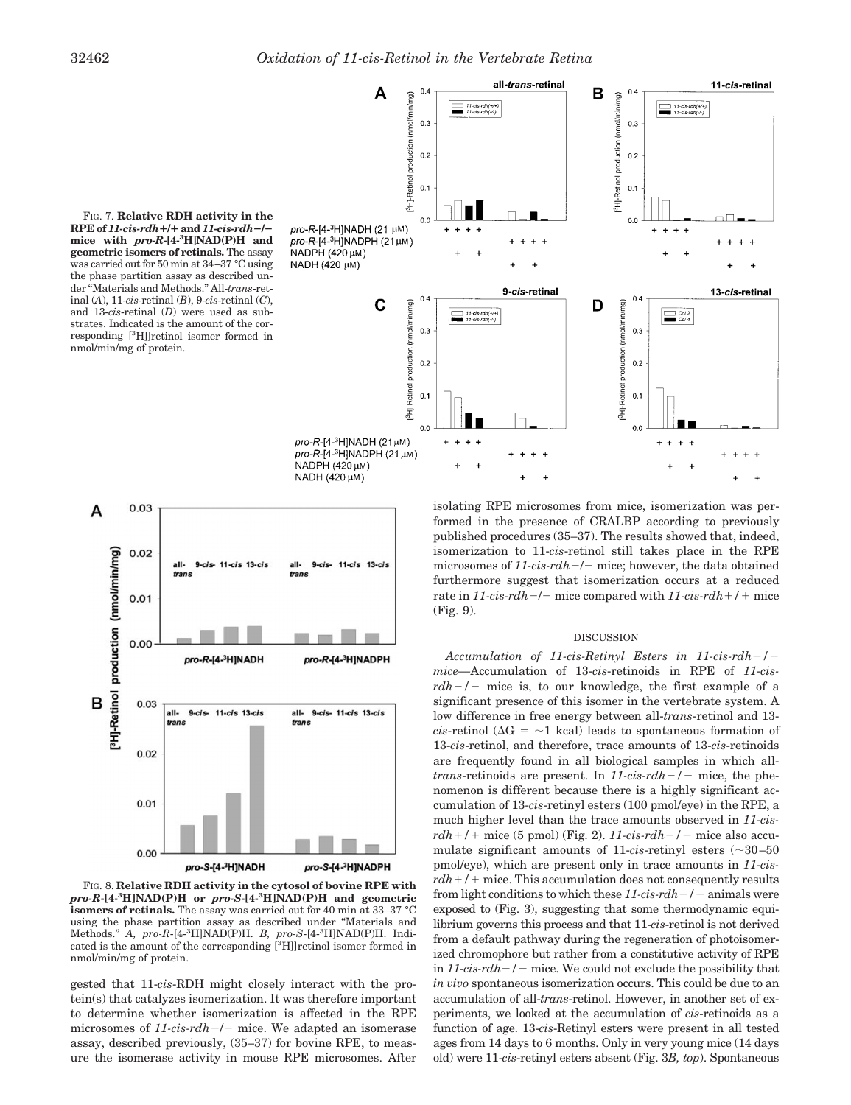FIG. 7. **Relative RDH activity in the RPE of** *11-cis-rdh*-**/**- **and** *11-cis-rdh***/ mice with** *pro-R***-[4-3 H]NAD(P)H and geometric isomers of retinals.** The assay was carried out for 50 min at 34–37 °C using the phase partition assay as described under "Materials and Methods." All-*trans*-retinal (*A*), 11-*cis*-retinal (*B*), 9-*cis*-retinal (*C*), and 13-*cis*-retinal (*D*) were used as substrates. Indicated is the amount of the corresponding [3 H]]retinol isomer formed in nmol/min/mg of protein.





FIG. 8. **Relative RDH activity in the cytosol of bovine RPE with** *pro-R***-[4-3 H]NAD(P)H or** *pro-S***-[4-<sup>3</sup> H]NAD(P)H and geometric isomers of retinals.** The assay was carried out for 40 min at 33–37 °C using the phase partition assay as described under "Materials and Methods." *A, pro-R*-[4-<sup>3</sup> H]NAD(P)H. *B, pro-S*-[4-<sup>3</sup> H]NAD(P)H. Indicated is the amount of the corresponding [<sup>3</sup>H]]retinol isomer formed in nmol/min/mg of protein.

gested that 11-*cis*-RDH might closely interact with the protein(s) that catalyzes isomerization. It was therefore important to determine whether isomerization is affected in the RPE microsomes of 11-cis-rdh-/- mice. We adapted an isomerase assay, described previously, (35–37) for bovine RPE, to measure the isomerase activity in mouse RPE microsomes. After

isolating RPE microsomes from mice, isomerization was performed in the presence of CRALBP according to previously published procedures (35–37). The results showed that, indeed, isomerization to 11-*cis*-retinol still takes place in the RPE microsomes of 11-cis-rdh-/- mice; however, the data obtained furthermore suggest that isomerization occurs at a reduced rate in 11-cis-rdh-/- mice compared with  $11$ -cis-rdh+/+ mice (Fig. 9).

#### DISCUSSION

*Accumulation of 11-cis-Retinyl Esters in 11-cis-rdh/ mice—*Accumulation of 13-*cis*-retinoids in RPE of *11-cis* $rdh-/-$  mice is, to our knowledge, the first example of a significant presence of this isomer in the vertebrate system. A low difference in free energy between all-*trans*-retinol and 13 *cis*-retinol ( $\Delta G = -1$  kcal) leads to spontaneous formation of 13-*cis*-retinol, and therefore, trace amounts of 13-*cis*-retinoids are frequently found in all biological samples in which all*trans*-retinoids are present. In  $11$ -cis-rdh- $/$ - mice, the phenomenon is different because there is a highly significant accumulation of 13-*cis*-retinyl esters (100 pmol/eye) in the RPE, a much higher level than the trace amounts observed in *11-cis* $rdh+1$  mice (5 pmol) (Fig. 2).  $11\text{-}cis\text{-}rdh-1$  mice also accumulate significant amounts of 11- $cis$ -retinyl esters ( $\sim$ 30-50 pmol/eye), which are present only in trace amounts in *11-cisrdh*-*/*- mice. This accumulation does not consequently results from light conditions to which these  $11\text{-}cis\text{-}rdh$  – / – animals were exposed to (Fig. 3), suggesting that some thermodynamic equilibrium governs this process and that 11-*cis*-retinol is not derived from a default pathway during the regeneration of photoisomerized chromophore but rather from a constitutive activity of RPE in  $11 \text{-} c$ is- $rdh$ <sup>-</sup>/- mice. We could not exclude the possibility that *in vivo* spontaneous isomerization occurs. This could be due to an accumulation of all-*trans*-retinol. However, in another set of experiments, we looked at the accumulation of *cis*-retinoids as a function of age. 13-*cis*-Retinyl esters were present in all tested ages from 14 days to 6 months. Only in very young mice (14 days old) were 11-*cis*-retinyl esters absent (Fig. 3*B, top*). Spontaneous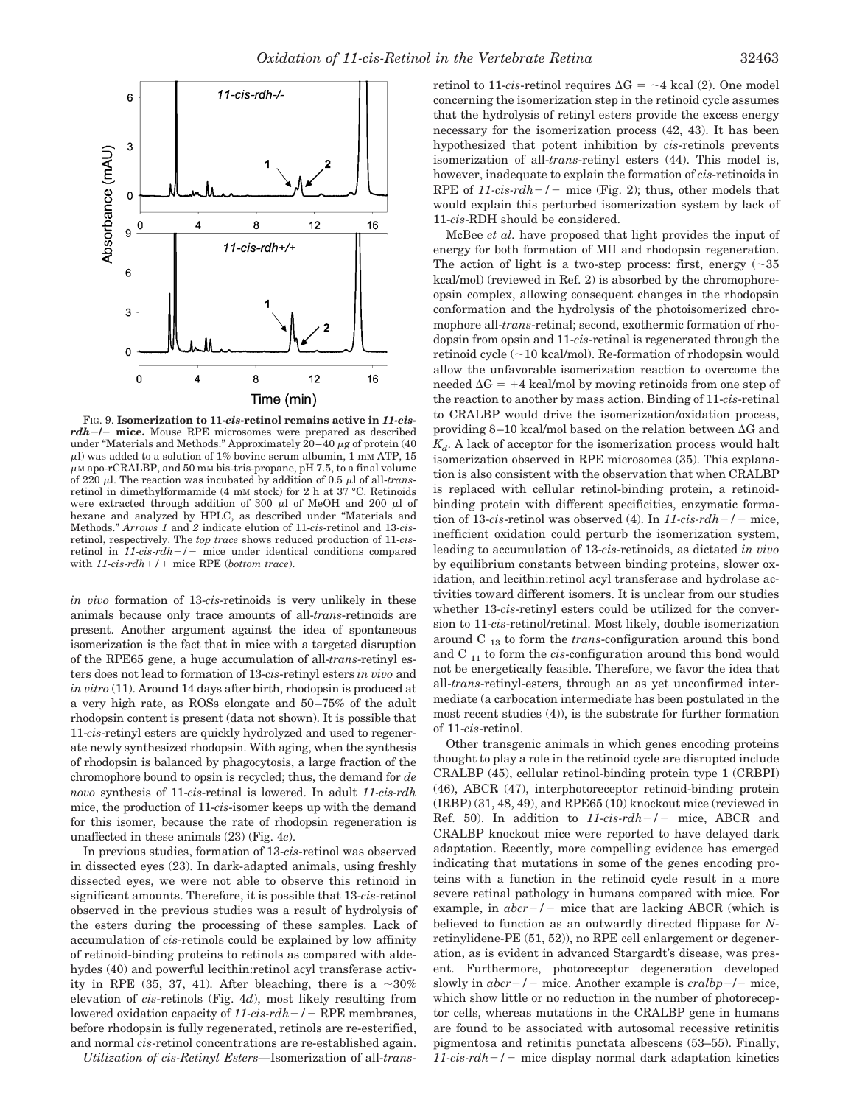

FIG. 9. **Isomerization to 11-***cis***-retinol remains active in** *11-cisrdh***/ mice.** Mouse RPE microsomes were prepared as described under "Materials and Methods." Approximately  $20-40 \mu$ g of protein (40  $\mu$ l) was added to a solution of 1% bovine serum albumin, 1 mM ATP, 15  $\mu$ M apo-rCRALBP, and 50 mM bis-tris-propane, pH 7.5, to a final volume of 220  $\mu$ l. The reaction was incubated by addition of 0.5  $\mu$ l of all-*trans*retinol in dimethylformamide (4 mM stock) for 2 h at 37 °C. Retinoids were extracted through addition of 300  $\mu$ l of MeOH and 200  $\mu$ l of hexane and analyzed by HPLC, as described under "Materials and Methods." *Arrows 1* and *2* indicate elution of 11-*cis*-retinol and 13*-cis*retinol, respectively. The *top trace* shows reduced production of 11-*cis*retinol in *11-cis-rdh-/-* mice under identical conditions compared with *11-cis-rdh*-*/*- mice RPE (*bottom trace*).

*in vivo* formation of 13-*cis*-retinoids is very unlikely in these animals because only trace amounts of all-*trans*-retinoids are present. Another argument against the idea of spontaneous isomerization is the fact that in mice with a targeted disruption of the RPE65 gene, a huge accumulation of all-*trans*-retinyl esters does not lead to formation of 13-*cis*-retinyl esters *in vivo* and *in vitro* (11). Around 14 days after birth, rhodopsin is produced at a very high rate, as ROSs elongate and 50–75% of the adult rhodopsin content is present (data not shown). It is possible that 11-*cis*-retinyl esters are quickly hydrolyzed and used to regenerate newly synthesized rhodopsin. With aging, when the synthesis of rhodopsin is balanced by phagocytosis, a large fraction of the chromophore bound to opsin is recycled; thus, the demand for *de novo* synthesis of 11-*cis*-retinal is lowered. In adult *11-cis-rdh* mice, the production of 11-*cis*-isomer keeps up with the demand for this isomer, because the rate of rhodopsin regeneration is unaffected in these animals (23) (Fig. 4*e*).

In previous studies, formation of 13-*cis*-retinol was observed in dissected eyes (23). In dark-adapted animals, using freshly dissected eyes, we were not able to observe this retinoid in significant amounts. Therefore, it is possible that 13-*cis*-retinol observed in the previous studies was a result of hydrolysis of the esters during the processing of these samples. Lack of accumulation of *cis*-retinols could be explained by low affinity of retinoid-binding proteins to retinols as compared with aldehydes (40) and powerful lecithin: retinol acyl transferase activity in RPE (35, 37, 41). After bleaching, there is a  $\sim 30\%$ elevation of *cis*-retinols (Fig. 4*d*), most likely resulting from lowered oxidation capacity of 11-cis-rdh-/- RPE membranes, before rhodopsin is fully regenerated, retinols are re-esterified, and normal *cis*-retinol concentrations are re-established again.

*Utilization of cis-Retinyl Esters—*Isomerization of all-*trans*-

retinol to 11-*cis*-retinol requires  $\Delta G = -4$  kcal (2). One model concerning the isomerization step in the retinoid cycle assumes that the hydrolysis of retinyl esters provide the excess energy necessary for the isomerization process (42, 43). It has been hypothesized that potent inhibition by *cis*-retinols prevents isomerization of all-*trans*-retinyl esters (44). This model is, however, inadequate to explain the formation of *cis*-retinoids in RPE of  $11\text{-}cis\text{-}rdh$  –  $/$  mice (Fig. 2); thus, other models that would explain this perturbed isomerization system by lack of 11-*cis*-RDH should be considered.

McBee *et al.* have proposed that light provides the input of energy for both formation of MII and rhodopsin regeneration. The action of light is a two-step process: first, energy  $(~35$ kcal/mol) (reviewed in Ref. 2) is absorbed by the chromophoreopsin complex, allowing consequent changes in the rhodopsin conformation and the hydrolysis of the photoisomerized chromophore all-*trans*-retinal; second, exothermic formation of rhodopsin from opsin and 11-*cis-*retinal is regenerated through the retinoid cycle  $(\sim 10$  kcal/mol). Re-formation of rhodopsin would allow the unfavorable isomerization reaction to overcome the needed  $\Delta G$  = +4 kcal/mol by moving retinoids from one step of the reaction to another by mass action. Binding of 11-*cis*-retinal to CRALBP would drive the isomerization/oxidation process, providing  $8-10$  kcal/mol based on the relation between  $\Delta G$  and  $K_d$ . A lack of acceptor for the isomerization process would halt isomerization observed in RPE microsomes (35). This explanation is also consistent with the observation that when CRALBP is replaced with cellular retinol-binding protein, a retinoidbinding protein with different specificities, enzymatic formation of 13-*cis*-retinol was observed (4). In  $11$ -*cis-rdh* $-/-$  mice, inefficient oxidation could perturb the isomerization system, leading to accumulation of 13-*cis*-retinoids, as dictated *in vivo* by equilibrium constants between binding proteins, slower oxidation, and lecithin:retinol acyl transferase and hydrolase activities toward different isomers. It is unclear from our studies whether 13-*cis*-retinyl esters could be utilized for the conversion to 11-*cis*-retinol/retinal. Most likely, double isomerization around C <sup>13</sup> to form the *trans*-configuration around this bond and C <sup>11</sup> to form the *cis*-configuration around this bond would not be energetically feasible. Therefore, we favor the idea that all-*trans*-retinyl-esters, through an as yet unconfirmed intermediate (a carbocation intermediate has been postulated in the most recent studies (4)), is the substrate for further formation of 11-*cis*-retinol.

Other transgenic animals in which genes encoding proteins thought to play a role in the retinoid cycle are disrupted include CRALBP (45), cellular retinol-binding protein type 1 (CRBPI) (46), ABCR (47), interphotoreceptor retinoid-binding protein (IRBP) (31, 48, 49), and RPE65 (10) knockout mice (reviewed in Ref. 50). In addition to  $11$ -cis-rdh-/- mice, ABCR and CRALBP knockout mice were reported to have delayed dark adaptation. Recently, more compelling evidence has emerged indicating that mutations in some of the genes encoding proteins with a function in the retinoid cycle result in a more severe retinal pathology in humans compared with mice. For example, in  $abc - / -$  mice that are lacking ABCR (which is believed to function as an outwardly directed flippase for *N*retinylidene-PE (51, 52)), no RPE cell enlargement or degeneration, as is evident in advanced Stargardt's disease, was present. Furthermore, photoreceptor degeneration developed slowly in  $abc - / -$  mice. Another example is  $cralbp - / -$  mice, which show little or no reduction in the number of photoreceptor cells, whereas mutations in the CRALBP gene in humans are found to be associated with autosomal recessive retinitis pigmentosa and retinitis punctata albescens (53–55). Finally,  $11$ -cis- $rdh$ <sup>-</sup>/- mice display normal dark adaptation kinetics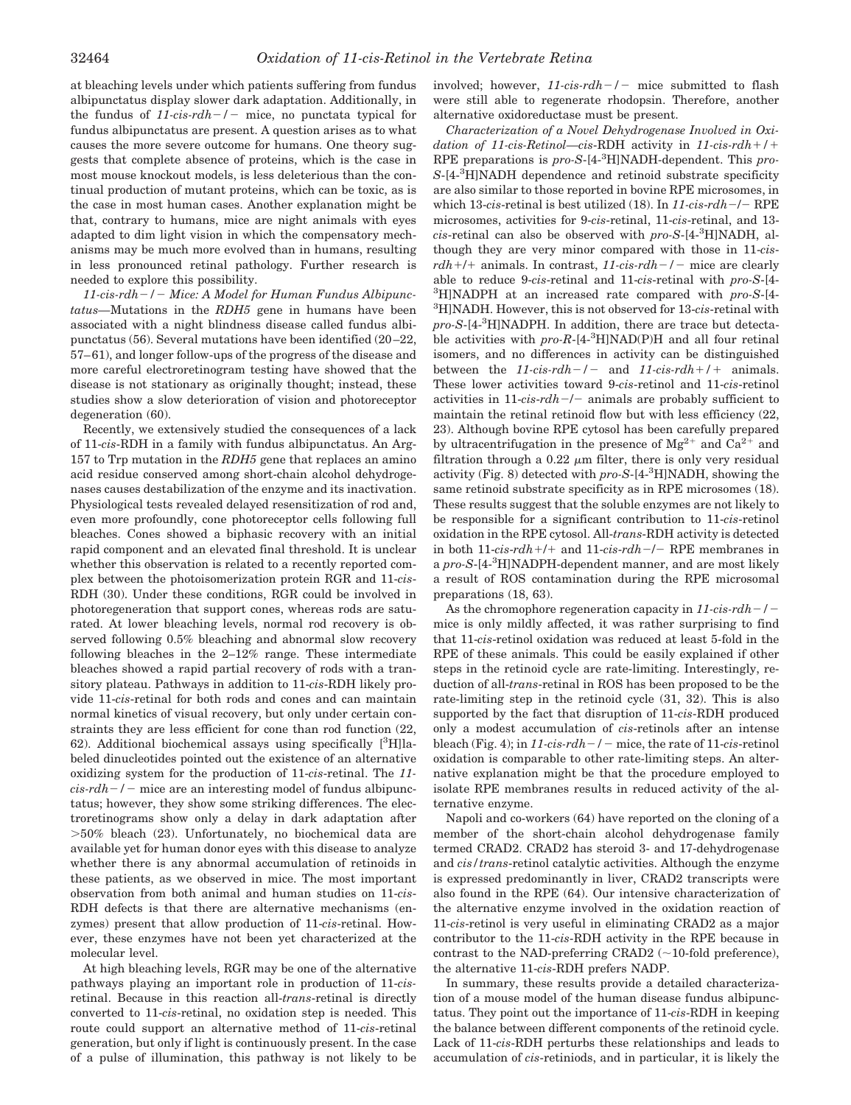at bleaching levels under which patients suffering from fundus albipunctatus display slower dark adaptation. Additionally, in the fundus of  $11\text{-}cis\text{-}rdh$  –  $/$  mice, no punctata typical for fundus albipunctatus are present. A question arises as to what causes the more severe outcome for humans. One theory suggests that complete absence of proteins, which is the case in most mouse knockout models, is less deleterious than the continual production of mutant proteins, which can be toxic, as is the case in most human cases. Another explanation might be that, contrary to humans, mice are night animals with eyes adapted to dim light vision in which the compensatory mechanisms may be much more evolved than in humans, resulting in less pronounced retinal pathology. Further research is needed to explore this possibility.

*11-cis-rdh/ Mice: A Model for Human Fundus Albipunctatus—*Mutations in the *RDH5* gene in humans have been associated with a night blindness disease called fundus albipunctatus (56). Several mutations have been identified (20–22, 57–61), and longer follow-ups of the progress of the disease and more careful electroretinogram testing have showed that the disease is not stationary as originally thought; instead, these studies show a slow deterioration of vision and photoreceptor degeneration (60).

Recently, we extensively studied the consequences of a lack of 11-*cis*-RDH in a family with fundus albipunctatus. An Arg-157 to Trp mutation in the *RDH5* gene that replaces an amino acid residue conserved among short-chain alcohol dehydrogenases causes destabilization of the enzyme and its inactivation. Physiological tests revealed delayed resensitization of rod and, even more profoundly, cone photoreceptor cells following full bleaches. Cones showed a biphasic recovery with an initial rapid component and an elevated final threshold. It is unclear whether this observation is related to a recently reported complex between the photoisomerization protein RGR and 11-*cis*-RDH (30). Under these conditions, RGR could be involved in photoregeneration that support cones, whereas rods are saturated. At lower bleaching levels, normal rod recovery is observed following 0.5% bleaching and abnormal slow recovery following bleaches in the 2–12% range. These intermediate bleaches showed a rapid partial recovery of rods with a transitory plateau. Pathways in addition to 11-*cis*-RDH likely provide 11-*cis*-retinal for both rods and cones and can maintain normal kinetics of visual recovery, but only under certain constraints they are less efficient for cone than rod function (22, 62). Additional biochemical assays using specifically  $[{}^{3}H]$ labeled dinucleotides pointed out the existence of an alternative oxidizing system for the production of 11-*cis*-retinal. The *11*  $cis$ - $rdh$  –  $/$  – mice are an interesting model of fundus albipunctatus; however, they show some striking differences. The electroretinograms show only a delay in dark adaptation after 50% bleach (23). Unfortunately, no biochemical data are available yet for human donor eyes with this disease to analyze whether there is any abnormal accumulation of retinoids in these patients, as we observed in mice. The most important observation from both animal and human studies on 11-*cis*-RDH defects is that there are alternative mechanisms (enzymes) present that allow production of 11-*cis*-retinal. However, these enzymes have not been yet characterized at the molecular level.

At high bleaching levels, RGR may be one of the alternative pathways playing an important role in production of 11-*cis*retinal. Because in this reaction all-*trans*-retinal is directly converted to 11-*cis*-retinal, no oxidation step is needed. This route could support an alternative method of 11-*cis*-retinal generation, but only if light is continuously present. In the case of a pulse of illumination, this pathway is not likely to be involved; however,  $11\text{-}cis\text{-}rdh$  / - mice submitted to flash were still able to regenerate rhodopsin. Therefore, another alternative oxidoreductase must be present.

*Characterization of a Novel Dehydrogenase Involved in Oxidation of 11-cis-Retinol—cis*-RDH activity in *11-cis-rdh*-*/*- RPE preparations is *pro-S*-[4-3 H]NADH-dependent. This *pro-S*-[4-3 H]NADH dependence and retinoid substrate specificity are also similar to those reported in bovine RPE microsomes, in which 13-*cis*-retinal is best utilized (18). In  $11$ -*cis-rdh*-/- RPE microsomes, activities for 9-*cis*-retinal, 11-*cis*-retinal, and 13 *cis*-retinal can also be observed with *pro-S*-[4-3 H]NADH, although they are very minor compared with those in 11-*cisrdh*+/+ animals. In contrast, 11-cis-rdh-/- mice are clearly able to reduce 9-*cis*-retinal and 11-*cis*-retinal with *pro-S*-[4- 3 H]NADPH at an increased rate compared with *pro-S*-[4- 3 H]NADH. However, this is not observed for 13-*cis*-retinal with *pro-S*-[4-3 H]NADPH. In addition, there are trace but detectable activities with *pro-R*-[4-<sup>3</sup> H]NAD(P)H and all four retinal isomers, and no differences in activity can be distinguished between the *11-cis-rdh* - / - and *11-cis-rdh* + / + animals. These lower activities toward 9-*cis*-retinol and 11-*cis*-retinol activities in  $11$ -*cis-rdh-/-* animals are probably sufficient to maintain the retinal retinoid flow but with less efficiency (22, 23). Although bovine RPE cytosol has been carefully prepared by ultracentrifugation in the presence of  $Mg^{2+}$  and  $Ca^{2+}$  and filtration through a  $0.22 \mu m$  filter, there is only very residual activity (Fig. 8) detected with *pro-S*-[4-3 H]NADH, showing the same retinoid substrate specificity as in RPE microsomes (18). These results suggest that the soluble enzymes are not likely to be responsible for a significant contribution to 11-*cis*-retinol oxidation in the RPE cytosol. All-*trans*-RDH activity is detected in both 11-*cis-rdh* +/+ and 11-*cis-rdh* -/- RPE membranes in a *pro-S*-[4-3 H]NADPH-dependent manner, and are most likely a result of ROS contamination during the RPE microsomal preparations (18, 63).

As the chromophore regeneration capacity in *11-cis-rdh/* mice is only mildly affected, it was rather surprising to find that 11-*cis*-retinol oxidation was reduced at least 5-fold in the RPE of these animals. This could be easily explained if other steps in the retinoid cycle are rate-limiting. Interestingly, reduction of all-*trans*-retinal in ROS has been proposed to be the rate-limiting step in the retinoid cycle (31, 32). This is also supported by the fact that disruption of 11-*cis*-RDH produced only a modest accumulation of *cis*-retinols after an intense bleach (Fig. 4); in  $11$ -cis-rdh  $-/-$  mice, the rate of 11-cis-retinol oxidation is comparable to other rate-limiting steps. An alternative explanation might be that the procedure employed to isolate RPE membranes results in reduced activity of the alternative enzyme.

Napoli and co-workers (64) have reported on the cloning of a member of the short-chain alcohol dehydrogenase family termed CRAD2. CRAD2 has steroid 3- and 17-dehydrogenase and *cis/trans*-retinol catalytic activities. Although the enzyme is expressed predominantly in liver, CRAD2 transcripts were also found in the RPE (64). Our intensive characterization of the alternative enzyme involved in the oxidation reaction of 11-*cis*-retinol is very useful in eliminating CRAD2 as a major contributor to the 11-*cis*-RDH activity in the RPE because in contrast to the NAD-preferring CRAD2  $(\sim 10$ -fold preference), the alternative 11-*cis*-RDH prefers NADP.

In summary, these results provide a detailed characterization of a mouse model of the human disease fundus albipunctatus. They point out the importance of 11-*cis*-RDH in keeping the balance between different components of the retinoid cycle. Lack of 11-*cis*-RDH perturbs these relationships and leads to accumulation of *cis*-retiniods, and in particular, it is likely the